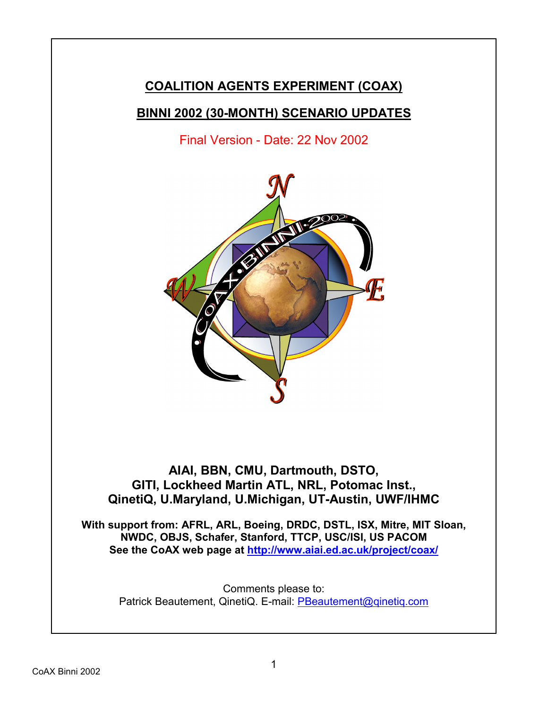# **COALITION AGENTS EXPERIMENT (COAX)**

## **BINNI 2002 (30-MONTH) SCENARIO UPDATES**

Final Version - Date: 22 Nov 2002



## **AIAI, BBN, CMU, Dartmouth, DSTO, GITI, Lockheed Martin ATL, NRL, Potomac Inst., QinetiQ, U.Maryland, U.Michigan, UT-Austin, UWF/IHMC**

**With support from: AFRL, ARL, Boeing, DRDC, DSTL, ISX, Mitre, MIT Sloan, NWDC, OBJS, Schafer, Stanford, TTCP, USC/ISI, US PACOM See the CoAX web page at http://www.aiai.ed.ac.uk/project/coax/**

Comments please to: Patrick Beautement, QinetiQ. E-mail: PBeautement@qinetiq.com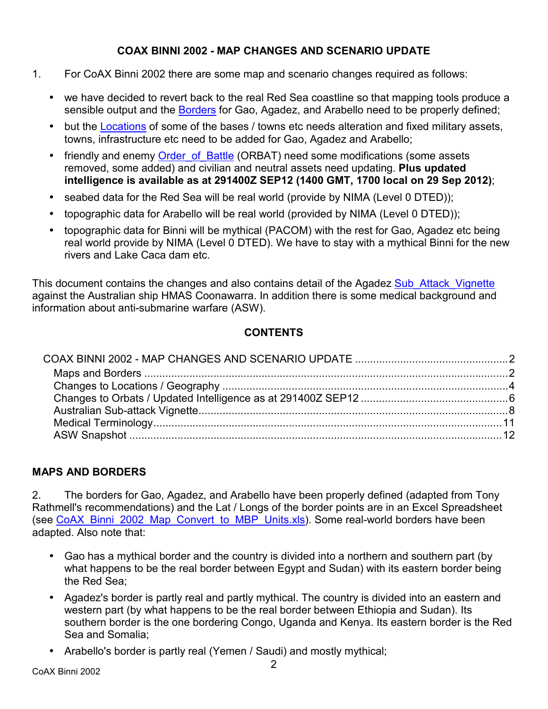#### **COAX BINNI 2002 - MAP CHANGES AND SCENARIO UPDATE**

- 1. For CoAX Binni 2002 there are some map and scenario changes required as follows:
	- we have decided to revert back to the real Red Sea coastline so that mapping tools produce a sensible output and the Borders for Gao, Agadez, and Arabello need to be properly defined;
	- but the Locations of some of the bases / towns etc needs alteration and fixed military assets, towns, infrastructure etc need to be added for Gao, Agadez and Arabello;
	- friendly and enemy Order of Battle (ORBAT) need some modifications (some assets removed, some added) and civilian and neutral assets need updating. **Plus updated intelligence is available as at 291400Z SEP12 (1400 GMT, 1700 local on 29 Sep 2012)**;
	- seabed data for the Red Sea will be real world (provide by NIMA (Level 0 DTED));
	- topographic data for Arabello will be real world (provided by NIMA (Level 0 DTED));
	- topographic data for Binni will be mythical (PACOM) with the rest for Gao, Agadez etc being real world provide by NIMA (Level 0 DTED). We have to stay with a mythical Binni for the new rivers and Lake Caca dam etc.

This document contains the changes and also contains detail of the Agadez Sub Attack Vignette against the Australian ship HMAS Coonawarra. In addition there is some medical background and information about anti-submarine warfare (ASW).

## **CONTENTS**

## **MAPS AND BORDERS**

2. The borders for Gao, Agadez, and Arabello have been properly defined (adapted from Tony Rathmell's recommendations) and the Lat / Longs of the border points are in an Excel Spreadsheet (see CoAX\_Binni\_2002\_Map\_Convert\_to\_MBP\_Units.xls). Some real-world borders have been adapted. Also note that:

- Gao has a mythical border and the country is divided into a northern and southern part (by what happens to be the real border between Egypt and Sudan) with its eastern border being the Red Sea;
- Agadez's border is partly real and partly mythical. The country is divided into an eastern and western part (by what happens to be the real border between Ethiopia and Sudan). Its southern border is the one bordering Congo, Uganda and Kenya. Its eastern border is the Red Sea and Somalia;
- Arabello's border is partly real (Yemen / Saudi) and mostly mythical;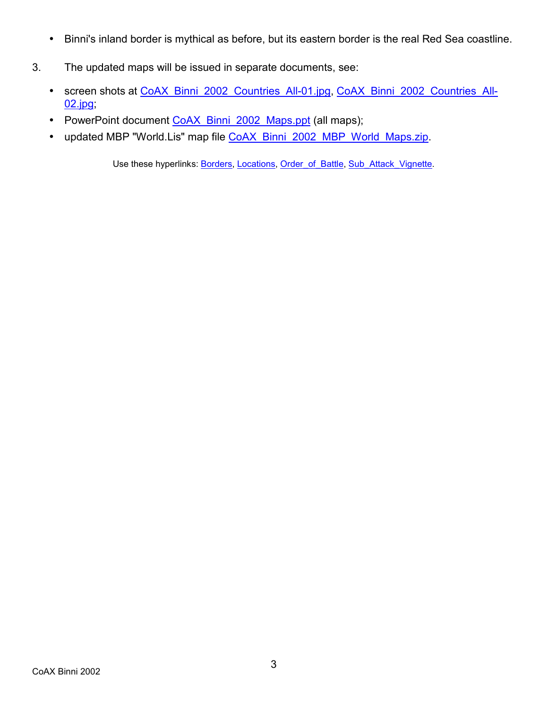- Binni's inland border is mythical as before, but its eastern border is the real Red Sea coastline.
- 3. The updated maps will be issued in separate documents, see:
	- screen shots at CoAX\_Binni\_2002\_Countries\_All-01.jpg, CoAX\_Binni\_2002\_Countries\_All-02.jpg;
	- PowerPoint document CoAX\_Binni\_2002\_Maps.ppt (all maps);
	- updated MBP "World.Lis" map file CoAX\_Binni\_2002\_MBP\_World\_Maps.zip.

Use these hyperlinks: Borders, Locations, Order\_of\_Battle, Sub\_Attack\_Vignette.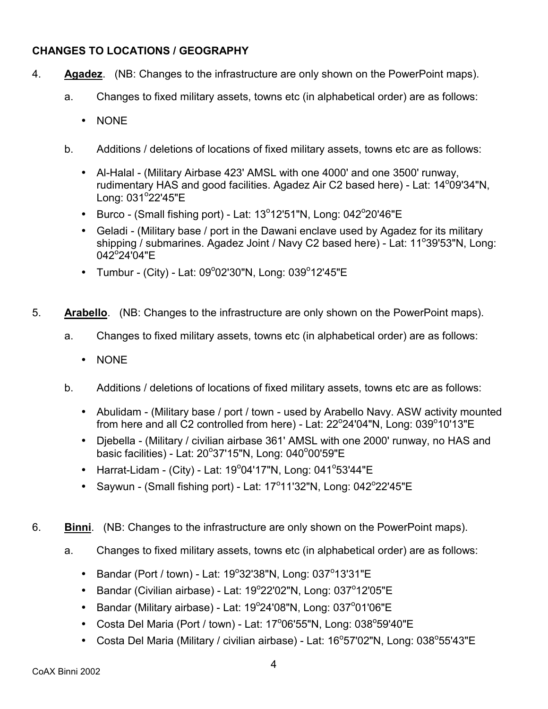#### **CHANGES TO LOCATIONS / GEOGRAPHY**

- 4. **Agadez**. (NB: Changes to the infrastructure are only shown on the PowerPoint maps).
	- a. Changes to fixed military assets, towns etc (in alphabetical order) are as follows:
		- NONE
	- b. Additions / deletions of locations of fixed military assets, towns etc are as follows:
		- Al-Halal (Military Airbase 423' AMSL with one 4000' and one 3500' runway, rudimentary HAS and good facilities. Agadez Air C2 based here) - Lat: 14<sup>o</sup>09'34"N, Long: 031°22'45"E
		- Burco (Small fishing port) Lat:  $13^{\circ}12'51''N$ , Long:  $042^{\circ}20'46''E$
		- Geladi (Military base / port in the Dawani enclave used by Agadez for its military shipping / submarines. Agadez Joint / Navy C2 based here) - Lat: 11°39'53"N, Long: 042°24'04"E
		- Tumbur (City) Lat: 09°02'30"N, Long: 039°12'45"E
- 5. **Arabello**. (NB: Changes to the infrastructure are only shown on the PowerPoint maps).
	- a. Changes to fixed military assets, towns etc (in alphabetical order) are as follows:
		- NONE
	- b. Additions / deletions of locations of fixed military assets, towns etc are as follows:
		- Abulidam (Military base / port / town used by Arabello Navy. ASW activity mounted from here and all C2 controlled from here) - Lat: 22 $^{\circ}$ 24'04"N, Long: 039 $^{\circ}$ 10'13"E
		- Djebella (Military / civilian airbase 361' AMSL with one 2000' runway, no HAS and basic facilities) - Lat: 20°37'15"N, Long: 040°00'59"E
		- Harrat-Lidam (City) Lat: 19°04'17"N, Long: 041°53'44"E
		- Saywun (Small fishing port) Lat:  $17^{\circ}11'32''N$ , Long:  $042^{\circ}22'45''E$
- 6. **Binni**. (NB: Changes to the infrastructure are only shown on the PowerPoint maps).
	- a. Changes to fixed military assets, towns etc (in alphabetical order) are as follows:
		- Bandar (Port / town) Lat:  $19^{\circ}32'38''N$ , Long:  $037^{\circ}13'31''E$
		- Bandar (Civilian airbase) Lat:  $19^{\circ}22'02''N$ , Long:  $037^{\circ}12'05''E$
		- Bandar (Military airbase) Lat:  $19^{\circ}24'08''N$ , Long:  $037^{\circ}01'06''E$
		- Costa Del Maria (Port / town) Lat: 17 $^{\circ}$ 06'55"N, Long: 038 $^{\circ}$ 59'40"E
		- Costa Del Maria (Military / civilian airbase) Lat:  $16^{\circ}57'02''N$ , Long:  $038^{\circ}55'43''E$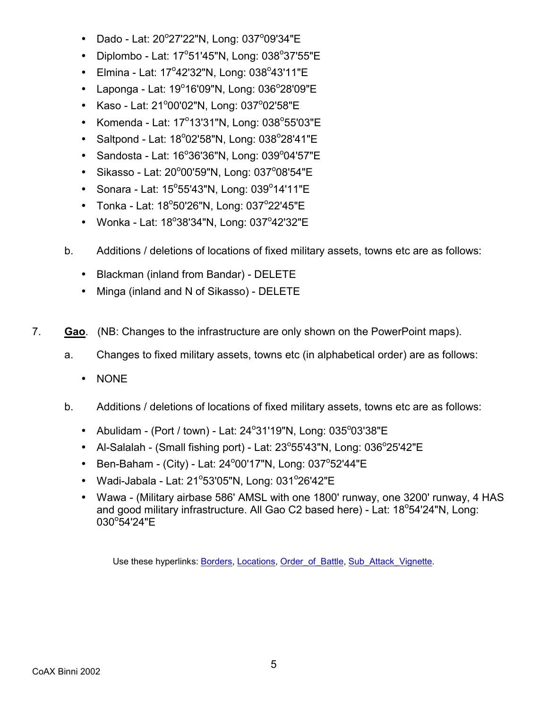- $\bullet$  Dado Lat: 20°27'22"N, Long: 037°09'34"E
- $\bullet$  Diplombo Lat: 17°51'45"N, Long: 038°37'55"E
- $\bullet$  Elmina Lat: 17°42'32"N, Long: 038°43'11"E
- $\bullet$  Laponga Lat: 19°16'09"N, Long: 036°28'09"E
- Kaso Lat: 21°00'02"N, Long: 037°02'58"E
- Komenda Lat:  $17^{\circ}13'31''N$ , Long:  $038^{\circ}55'03''E$
- $\bullet$  Saltpond Lat: 18°02'58"N, Long: 038°28'41"E
- $\bullet$  Sandosta Lat: 16°36'36"N, Long: 039°04'57"E
- $\bullet$  Sikasso Lat: 20°00'59"N, Long: 037°08'54"E
- $\bullet$  Sonara Lat: 15°55'43"N, Long: 039°14'11"E
- $\bullet$  Tonka Lat: 18°50'26"N, Long: 037°22'45"E
- $\bullet$  Wonka Lat: 18°38'34"N, Long: 037°42'32"E
- b. Additions / deletions of locations of fixed military assets, towns etc are as follows:
	- Blackman (inland from Bandar) DELETE
	- Minga (inland and N of Sikasso) DELETE
- 7. **Gao**. (NB: Changes to the infrastructure are only shown on the PowerPoint maps).
	- a. Changes to fixed military assets, towns etc (in alphabetical order) are as follows:
		- NONE
	- b. Additions / deletions of locations of fixed military assets, towns etc are as follows:
		- Abulidam (Port / town) Lat:  $24^{\circ}31'19''N$ , Long:  $035^{\circ}03'38''E$
		- Al-Salalah (Small fishing port) Lat:  $23^{\circ}55'43''N$ , Long:  $036^{\circ}25'42''E$
		- Ben-Baham (City) Lat: 24 $^{\circ}$ 00'17"N, Long: 037 $^{\circ}$ 52'44"E
		- $\bullet$  Wadi-Jabala Lat: 21°53'05"N, Long: 031°26'42"E
		- Wawa (Military airbase 586' AMSL with one 1800' runway, one 3200' runway, 4 HAS and good military infrastructure. All Gao C2 based here) - Lat: 18°54'24"N, Long: 030°54'24"E

Use these hyperlinks: Borders, Locations, Order\_of\_Battle, Sub\_Attack\_Vignette.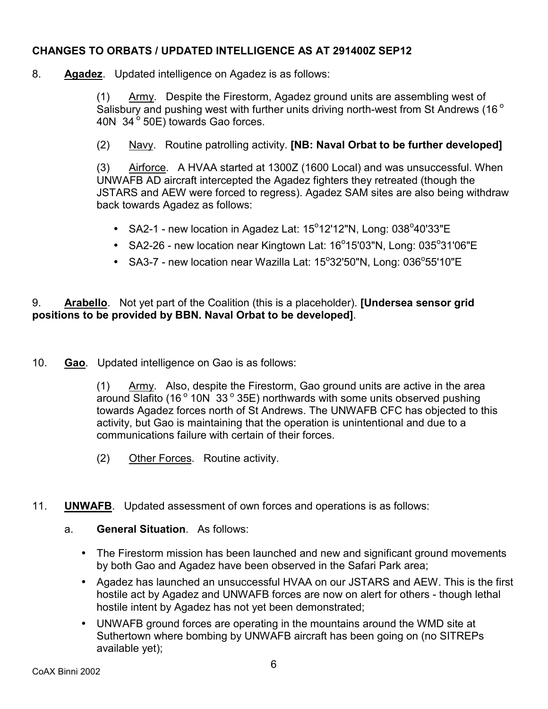#### **CHANGES TO ORBATS / UPDATED INTELLIGENCE AS AT 291400Z SEP12**

8. **Agadez**. Updated intelligence on Agadez is as follows:

 $(1)$  Army. Despite the Firestorm, Agadez ground units are assembling west of Salisbury and pushing west with further units driving north-west from St Andrews (16 $^{\circ}$ ) 40N  $34^{\circ}$  50E) towards Gao forces.

(2) Navy. Routine patrolling activity. **[NB: Naval Orbat to be further developed]**

(3) Airforce. A HVAA started at 1300Z (1600 Local) and was unsuccessful. When UNWAFB AD aircraft intercepted the Agadez fighters they retreated (though the JSTARS and AEW were forced to regress). Agadez SAM sites are also being withdraw back towards Agadez as follows:

- SA2-1 new location in Agadez Lat:  $15^{\circ}12'12''N$ , Long:  $038^{\circ}40'33''E$
- SA2-26 new location near Kingtown Lat:  $16^{\circ}15'03''N$ , Long:  $035^{\circ}31'06''E$
- SA3-7 new location near Wazilla Lat:  $15^{\circ}32'50''N$ , Long:  $036^{\circ}55'10''E$

#### 9. **Arabello**. Not yet part of the Coalition (this is a placeholder). **[Undersea sensor grid positions to be provided by BBN. Naval Orbat to be developed]**.

10. **Gao**. Updated intelligence on Gao is as follows:

(1) Army. Also, despite the Firestorm, Gao ground units are active in the area around Slafito (16 $\degree$  10N 33 $\degree$  35E) northwards with some units observed pushing towards Agadez forces north of St Andrews. The UNWAFB CFC has objected to this activity, but Gao is maintaining that the operation is unintentional and due to a communications failure with certain of their forces.

- (2) Other Forces. Routine activity.
- 11. **UNWAFB**. Updated assessment of own forces and operations is as follows:
	- a. **General Situation**. As follows:
		- The Firestorm mission has been launched and new and significant ground movements by both Gao and Agadez have been observed in the Safari Park area;
		- Agadez has launched an unsuccessful HVAA on our JSTARS and AEW. This is the first hostile act by Agadez and UNWAFB forces are now on alert for others - though lethal hostile intent by Agadez has not yet been demonstrated;
		- UNWAFB ground forces are operating in the mountains around the WMD site at Suthertown where bombing by UNWAFB aircraft has been going on (no SITREPs available yet);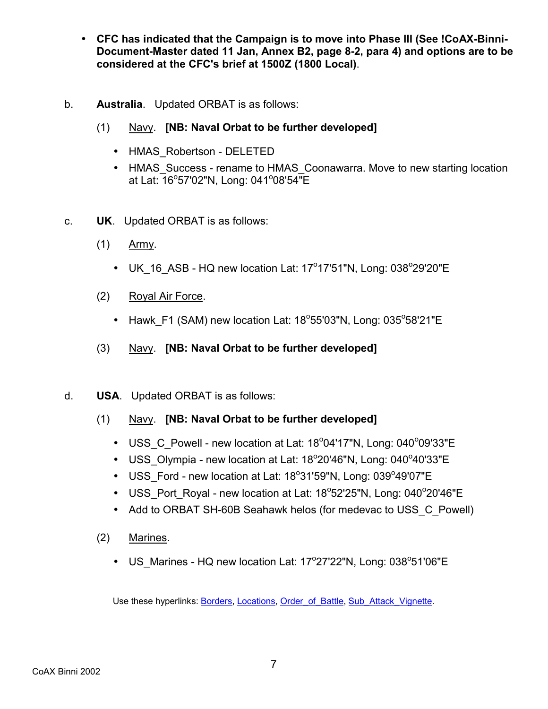- **CFC has indicated that the Campaign is to move into Phase III (See !CoAX-Binni-Document-Master dated 11 Jan, Annex B2, page 8-2, para 4) and options are to be considered at the CFC's brief at 1500Z (1800 Local)**.
- b. **Australia**. Updated ORBAT is as follows:
	- (1) Navy. **[NB: Naval Orbat to be further developed]**
		- HMAS Robertson DELETED
		- HMAS Success rename to HMAS Coonawarra. Move to new starting location at Lat: 16°57'02"N, Long: 041°08'54"E
- c. **UK**. Updated ORBAT is as follows:
	- (1) Army.
		- $\bullet$  UK\_16\_ASB HQ new location Lat: 17°17'51"N, Long: 038°29'20"E
	- (2) Royal Air Force.
		- Hawk\_F1 (SAM) new location Lat:  $18^{\circ}55'03''N$ , Long:  $035^{\circ}58'21''E$
	- (3) Navy. **[NB: Naval Orbat to be further developed]**
- d. **USA**. Updated ORBAT is as follows:
	- (1) Navy. **[NB: Naval Orbat to be further developed]**
		- $\bullet$  USS\_C\_Powell new location at Lat: 18 $^{\circ}$ 04'17"N, Long: 040 $^{\circ}$ 09'33"E
		- $\bullet$  USS\_Olympia new location at Lat: 18 $^{\circ}$ 20'46"N, Long: 040 $^{\circ}$ 40'33"E
		- USS\_Ford new location at Lat: 18°31'59"N, Long: 039°49'07"E
		- USS\_Port\_Royal new location at Lat:  $18^{\circ}52'25''N$ , Long:  $040^{\circ}20'46''E$
		- Add to ORBAT SH-60B Seahawk helos (for medevac to USS C Powell)
	- (2) Marines.
		- $\bullet$  US\_Marines HQ new location Lat: 17°27'22"N, Long: 038°51'06"E

Use these hyperlinks: Borders, Locations, Order\_of\_Battle, Sub\_Attack\_Vignette.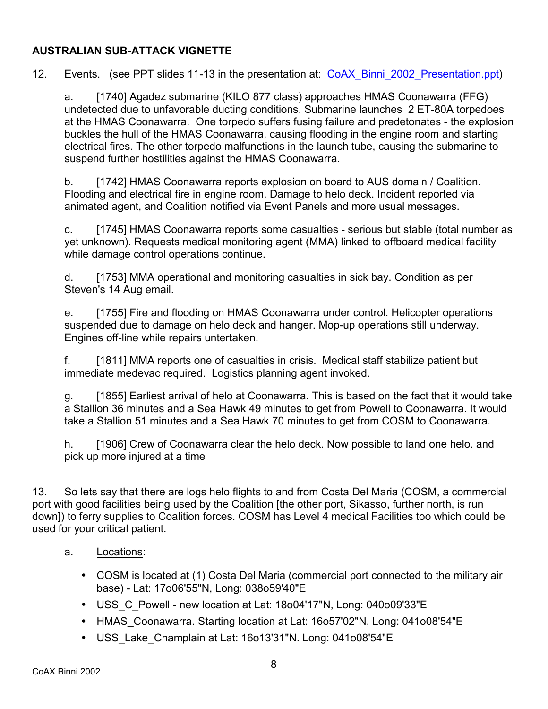#### **AUSTRALIAN SUB-ATTACK VIGNETTE**

12. Events. (see PPT slides 11-13 in the presentation at: CoAX Binni 2002 Presentation.ppt)

a. [1740] Agadez submarine (KILO 877 class) approaches HMAS Coonawarra (FFG) undetected due to unfavorable ducting conditions. Submarine launches 2 ET-80A torpedoes at the HMAS Coonawarra. One torpedo suffers fusing failure and predetonates - the explosion buckles the hull of the HMAS Coonawarra, causing flooding in the engine room and starting electrical fires. The other torpedo malfunctions in the launch tube, causing the submarine to suspend further hostilities against the HMAS Coonawarra.

b. [1742] HMAS Coonawarra reports explosion on board to AUS domain / Coalition. Flooding and electrical fire in engine room. Damage to helo deck. Incident reported via animated agent, and Coalition notified via Event Panels and more usual messages.

c. [1745] HMAS Coonawarra reports some casualties - serious but stable (total number as yet unknown). Requests medical monitoring agent (MMA) linked to offboard medical facility while damage control operations continue.

d. [1753] MMA operational and monitoring casualties in sick bay. Condition as per Steven's 14 Aug email.

e. [1755] Fire and flooding on HMAS Coonawarra under control. Helicopter operations suspended due to damage on helo deck and hanger. Mop-up operations still underway. Engines off-line while repairs untertaken.

f. [1811] MMA reports one of casualties in crisis. Medical staff stabilize patient but immediate medevac required. Logistics planning agent invoked.

g. [1855] Earliest arrival of helo at Coonawarra. This is based on the fact that it would take a Stallion 36 minutes and a Sea Hawk 49 minutes to get from Powell to Coonawarra. It would take a Stallion 51 minutes and a Sea Hawk 70 minutes to get from COSM to Coonawarra.

h. [1906] Crew of Coonawarra clear the helo deck. Now possible to land one helo. and pick up more injured at a time

13. So lets say that there are logs helo flights to and from Costa Del Maria (COSM, a commercial port with good facilities being used by the Coalition [the other port, Sikasso, further north, is run down]) to ferry supplies to Coalition forces. COSM has Level 4 medical Facilities too which could be used for your critical patient.

- a. Locations:
	- COSM is located at (1) Costa Del Maria (commercial port connected to the military air base) - Lat: 17o06'55"N, Long: 038o59'40"E
	- USS\_C\_Powell new location at Lat: 18o04'17"N, Long: 040o09'33"E
	- HMAS Coonawarra. Starting location at Lat: 16o57'02"N, Long: 041o08'54"E
	- USS\_Lake\_Champlain at Lat: 16o13'31"N. Long: 041o08'54"E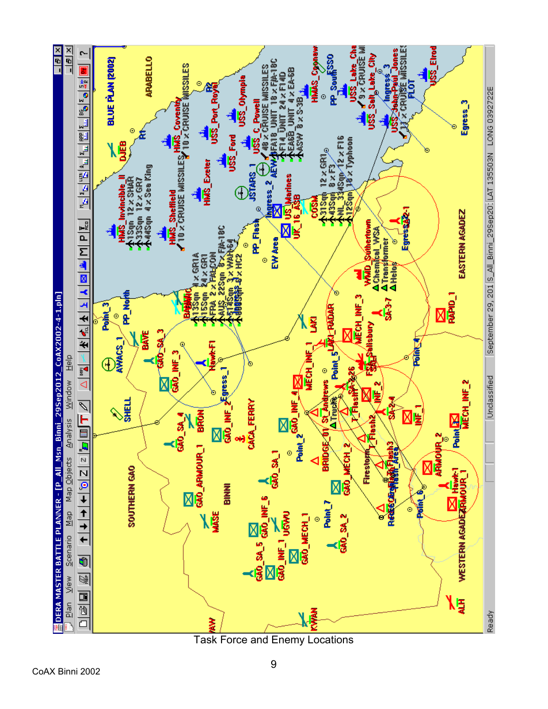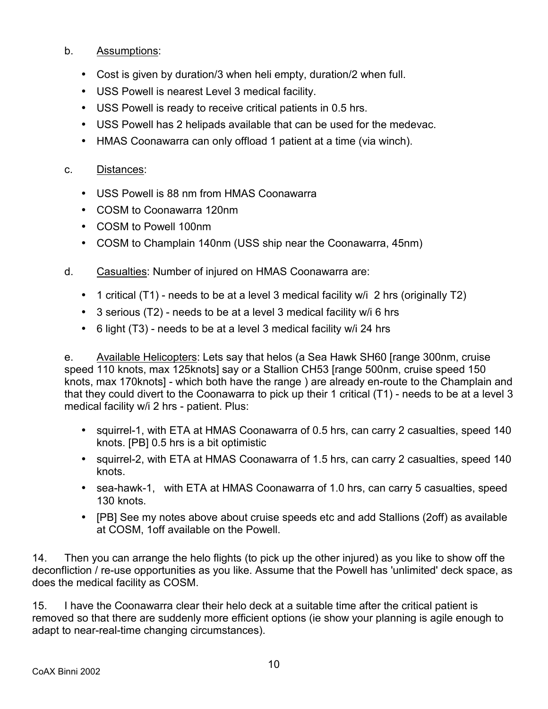#### b. Assumptions:

- Cost is given by duration/3 when heli empty, duration/2 when full.
- USS Powell is nearest Level 3 medical facility.
- USS Powell is ready to receive critical patients in 0.5 hrs.
- USS Powell has 2 helipads available that can be used for the medevac.
- HMAS Coonawarra can only offload 1 patient at a time (via winch).

#### c. Distances:

- USS Powell is 88 nm from HMAS Coonawarra
- COSM to Coonawarra 120nm
- COSM to Powell 100nm
- COSM to Champlain 140nm (USS ship near the Coonawarra, 45nm)
- d. Casualties: Number of injured on HMAS Coonawarra are:
	- 1 critical (T1) needs to be at a level 3 medical facility w/i 2 hrs (originally T2)
	- 3 serious (T2) needs to be at a level 3 medical facility w/i 6 hrs
	- 6 light (T3) needs to be at a level 3 medical facility w/i 24 hrs

e. Available Helicopters: Lets say that helos (a Sea Hawk SH60 [range 300nm, cruise speed 110 knots, max 125knots] say or a Stallion CH53 [range 500nm, cruise speed 150 knots, max 170knots] - which both have the range ) are already en-route to the Champlain and that they could divert to the Coonawarra to pick up their 1 critical (T1) - needs to be at a level 3 medical facility w/i 2 hrs - patient. Plus:

- squirrel-1, with ETA at HMAS Coonawarra of 0.5 hrs, can carry 2 casualties, speed 140 knots. [PB] 0.5 hrs is a bit optimistic
- squirrel-2, with ETA at HMAS Coonawarra of 1.5 hrs, can carry 2 casualties, speed 140 knots.
- sea-hawk-1, with ETA at HMAS Coonawarra of 1.0 hrs, can carry 5 casualties, speed 130 knots.
- [PB] See my notes above about cruise speeds etc and add Stallions (2off) as available at COSM, 1off available on the Powell.

14. Then you can arrange the helo flights (to pick up the other injured) as you like to show off the deconfliction / re-use opportunities as you like. Assume that the Powell has 'unlimited' deck space, as does the medical facility as COSM.

15. I have the Coonawarra clear their helo deck at a suitable time after the critical patient is removed so that there are suddenly more efficient options (ie show your planning is agile enough to adapt to near-real-time changing circumstances).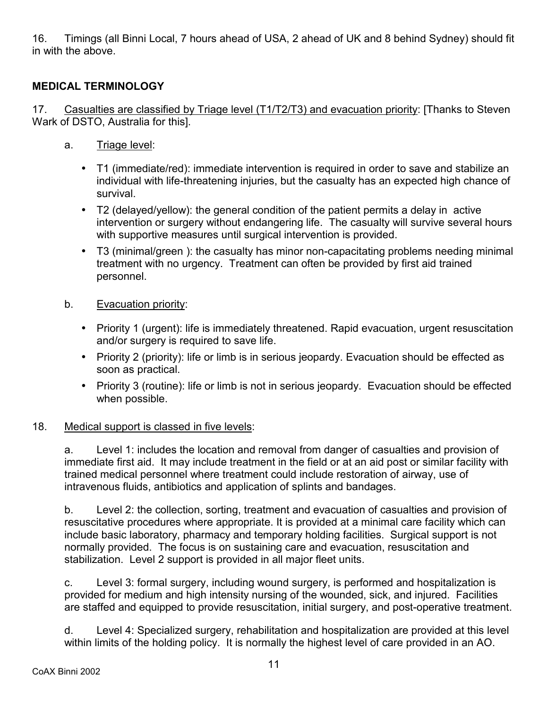16. Timings (all Binni Local, 7 hours ahead of USA, 2 ahead of UK and 8 behind Sydney) should fit in with the above.

## **MEDICAL TERMINOLOGY**

17. Casualties are classified by Triage level (T1/T2/T3) and evacuation priority: [Thanks to Steven Wark of DSTO, Australia for this].

- a. Triage level:
	- T1 (immediate/red): immediate intervention is required in order to save and stabilize an individual with life-threatening injuries, but the casualty has an expected high chance of survival.
	- T2 (delayed/yellow): the general condition of the patient permits a delay in active intervention or surgery without endangering life. The casualty will survive several hours with supportive measures until surgical intervention is provided.
	- T3 (minimal/green ): the casualty has minor non-capacitating problems needing minimal treatment with no urgency. Treatment can often be provided by first aid trained personnel.

#### b. Evacuation priority:

- Priority 1 (urgent): life is immediately threatened. Rapid evacuation, urgent resuscitation and/or surgery is required to save life.
- Priority 2 (priority): life or limb is in serious jeopardy. Evacuation should be effected as soon as practical.
- Priority 3 (routine): life or limb is not in serious jeopardy. Evacuation should be effected when possible.

#### 18. Medical support is classed in five levels:

a. Level 1: includes the location and removal from danger of casualties and provision of immediate first aid. It may include treatment in the field or at an aid post or similar facility with trained medical personnel where treatment could include restoration of airway, use of intravenous fluids, antibiotics and application of splints and bandages.

b. Level 2: the collection, sorting, treatment and evacuation of casualties and provision of resuscitative procedures where appropriate. It is provided at a minimal care facility which can include basic laboratory, pharmacy and temporary holding facilities. Surgical support is not normally provided. The focus is on sustaining care and evacuation, resuscitation and stabilization. Level 2 support is provided in all major fleet units.

c. Level 3: formal surgery, including wound surgery, is performed and hospitalization is provided for medium and high intensity nursing of the wounded, sick, and injured. Facilities are staffed and equipped to provide resuscitation, initial surgery, and post-operative treatment.

d. Level 4: Specialized surgery, rehabilitation and hospitalization are provided at this level within limits of the holding policy. It is normally the highest level of care provided in an AO.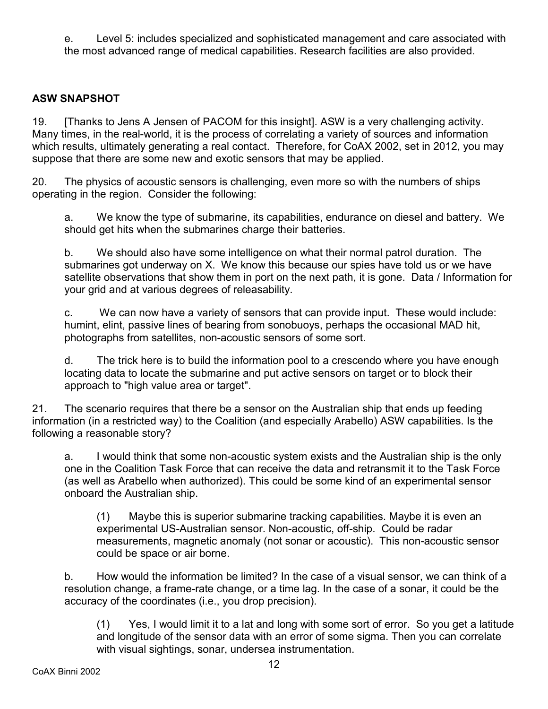e. Level 5: includes specialized and sophisticated management and care associated with the most advanced range of medical capabilities. Research facilities are also provided.

#### **ASW SNAPSHOT**

19. [Thanks to Jens A Jensen of PACOM for this insight]. ASW is a very challenging activity. Many times, in the real-world, it is the process of correlating a variety of sources and information which results, ultimately generating a real contact. Therefore, for CoAX 2002, set in 2012, you may suppose that there are some new and exotic sensors that may be applied.

20. The physics of acoustic sensors is challenging, even more so with the numbers of ships operating in the region. Consider the following:

a. We know the type of submarine, its capabilities, endurance on diesel and battery. We should get hits when the submarines charge their batteries.

b. We should also have some intelligence on what their normal patrol duration. The submarines got underway on X. We know this because our spies have told us or we have satellite observations that show them in port on the next path, it is gone. Data / Information for your grid and at various degrees of releasability.

c. We can now have a variety of sensors that can provide input. These would include: humint, elint, passive lines of bearing from sonobuoys, perhaps the occasional MAD hit, photographs from satellites, non-acoustic sensors of some sort.

d. The trick here is to build the information pool to a crescendo where you have enough locating data to locate the submarine and put active sensors on target or to block their approach to "high value area or target".

21. The scenario requires that there be a sensor on the Australian ship that ends up feeding information (in a restricted way) to the Coalition (and especially Arabello) ASW capabilities. Is the following a reasonable story?

a. I would think that some non-acoustic system exists and the Australian ship is the only one in the Coalition Task Force that can receive the data and retransmit it to the Task Force (as well as Arabello when authorized). This could be some kind of an experimental sensor onboard the Australian ship.

(1) Maybe this is superior submarine tracking capabilities. Maybe it is even an experimental US-Australian sensor. Non-acoustic, off-ship. Could be radar measurements, magnetic anomaly (not sonar or acoustic). This non-acoustic sensor could be space or air borne.

b. How would the information be limited? In the case of a visual sensor, we can think of a resolution change, a frame-rate change, or a time lag. In the case of a sonar, it could be the accuracy of the coordinates (i.e., you drop precision).

(1) Yes, I would limit it to a lat and long with some sort of error. So you get a latitude and longitude of the sensor data with an error of some sigma. Then you can correlate with visual sightings, sonar, undersea instrumentation.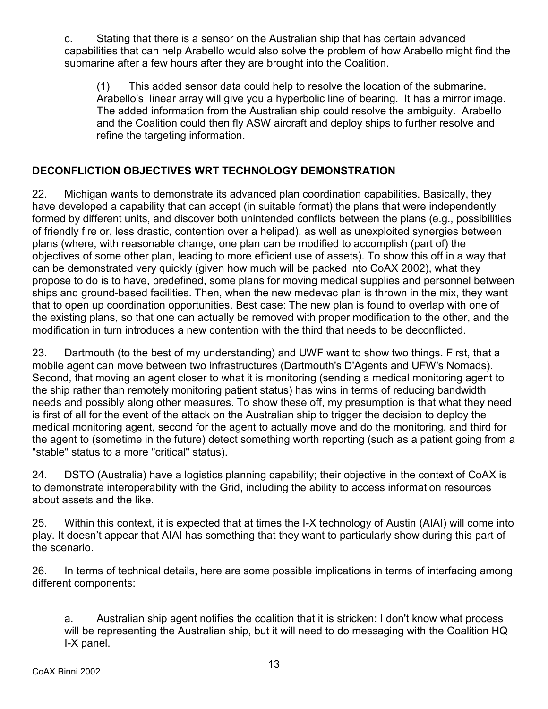c. Stating that there is a sensor on the Australian ship that has certain advanced capabilities that can help Arabello would also solve the problem of how Arabello might find the submarine after a few hours after they are brought into the Coalition.

(1) This added sensor data could help to resolve the location of the submarine. Arabello's linear array will give you a hyperbolic line of bearing. It has a mirror image. The added information from the Australian ship could resolve the ambiguity. Arabello and the Coalition could then fly ASW aircraft and deploy ships to further resolve and refine the targeting information.

## **DECONFLICTION OBJECTIVES WRT TECHNOLOGY DEMONSTRATION**

22. Michigan wants to demonstrate its advanced plan coordination capabilities. Basically, they have developed a capability that can accept (in suitable format) the plans that were independently formed by different units, and discover both unintended conflicts between the plans (e.g., possibilities of friendly fire or, less drastic, contention over a helipad), as well as unexploited synergies between plans (where, with reasonable change, one plan can be modified to accomplish (part of) the objectives of some other plan, leading to more efficient use of assets). To show this off in a way that can be demonstrated very quickly (given how much will be packed into CoAX 2002), what they propose to do is to have, predefined, some plans for moving medical supplies and personnel between ships and ground-based facilities. Then, when the new medevac plan is thrown in the mix, they want that to open up coordination opportunities. Best case: The new plan is found to overlap with one of the existing plans, so that one can actually be removed with proper modification to the other, and the modification in turn introduces a new contention with the third that needs to be deconflicted.

23. Dartmouth (to the best of my understanding) and UWF want to show two things. First, that a mobile agent can move between two infrastructures (Dartmouth's D'Agents and UFW's Nomads). Second, that moving an agent closer to what it is monitoring (sending a medical monitoring agent to the ship rather than remotely monitoring patient status) has wins in terms of reducing bandwidth needs and possibly along other measures. To show these off, my presumption is that what they need is first of all for the event of the attack on the Australian ship to trigger the decision to deploy the medical monitoring agent, second for the agent to actually move and do the monitoring, and third for the agent to (sometime in the future) detect something worth reporting (such as a patient going from a "stable" status to a more "critical" status).

24. DSTO (Australia) have a logistics planning capability; their objective in the context of CoAX is to demonstrate interoperability with the Grid, including the ability to access information resources about assets and the like.

25. Within this context, it is expected that at times the I-X technology of Austin (AIAI) will come into play. It doesn't appear that AIAI has something that they want to particularly show during this part of the scenario.

26. In terms of technical details, here are some possible implications in terms of interfacing among different components:

a. Australian ship agent notifies the coalition that it is stricken: I don't know what process will be representing the Australian ship, but it will need to do messaging with the Coalition HQ I-X panel.